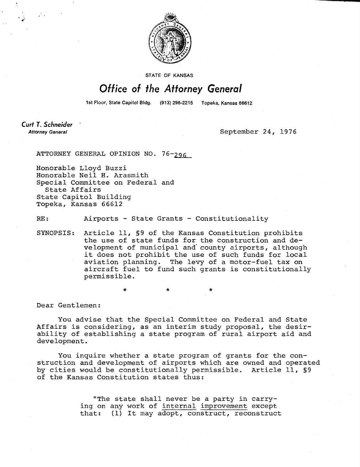

**STATE OF KANSAS** 

## Office of the Attorney General

1st Floor, State Capitol Bldg. (913) 296-2215 Topeka, Kansas 66612

Curt T. Schneider **Attorney General** 

September 24, 1976

ATTORNEY GENERAL OPINION NO. 76-296

Honorable Lloyd Buzzi Honorable Neil H. Arasmith Special Committee on Federal and State Affairs State Capitol Building Topeka, Kansas 66612

RE: Airports - State Grants - Constitutionality

SYNOPSIS: Article 11, §9 of the Kansas Constitution prohibits the use of state funds for the construction and development of municipal and county airports, although it does not prohibit the use of such funds for local aviation planning. The levy of a motor-fuel tax on aircraft fuel to fund such grants is constitutionally permissible.

Dear Gentlemen:

You advise that the Special Committee on Federal and State Affairs is considering, as an interim study proposal, the desirability of establishing a state program of rural airport aid and development.

You inquire whether a state program of grants for the construction and development of airports which are owned and operated by cities would be constitutionally permissible. Article 11, §9 of the Kansas Constitution states thus:

> "The state shall never be a party in carrying on any work of internal improvement except that: (1) It may adopt, construct, reconstruct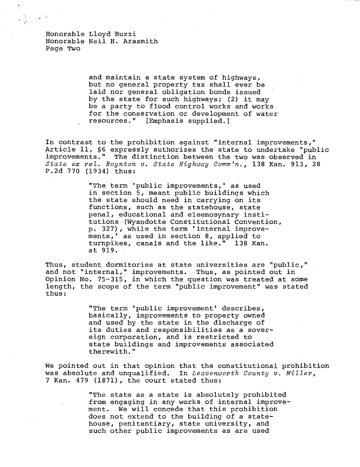Honorable Lloyd Buzzi Honorable Neil H. Arasmith Page Two

> and maintain a state system of highways, but no general property tax shall ever be laid nor general obligation bonds issued by the state for such highways; (2) it may be a party to flood control works and works for the conservation or development of water resources." [Emphasis supplied.]

In contrast to the prohibition against "internal improvements," Article 11, §6 expressly authorizes the state to undertake "public improvements." The distinction between the two was observed in State ex rel. Boynton v. State Highway Comm 'n., 138 Kan. 913, 28 P.2d 770 (1934) thus:

> "The term 'public improvements,' as used in section 5, meant public buildings which the state should need in carrying on its functions, such as the statehouse, state penal, educational and eleemosynary institutions (Wyandotte Constitutional Convention, p. 327), while the term 'internal improvements,' as used in section 8, applied to turnpikes, canals and the like." 138 Kan. at 919.

Thus, student dormitories at state universities are "public," and not "internal," improvements. Thus, as pointed out in Opinion No. 75-315, in which the question was treated at some length, the scope of the term "public improvement" was stated thus:

> "The term 'public improvement' describes, basically, improvements to property owned and used by the state in the discharge of its duties and responsibilities as a sovereign corporation, and is restricted to state buildings and improvements associated therewith."

We pointed out in that opinion that the constitutional prohibition was absolute and unqualified. In Leavenworth County v. Miller, 7 Kan. 479 (1871), the court stated thus:

> "The state as a state is absolutely prohibited from engaging in any works of internal improvement. We will concede that this prohibition does not extend to the building of a statehouse, penitentiary, state university, and such other public improvements as are used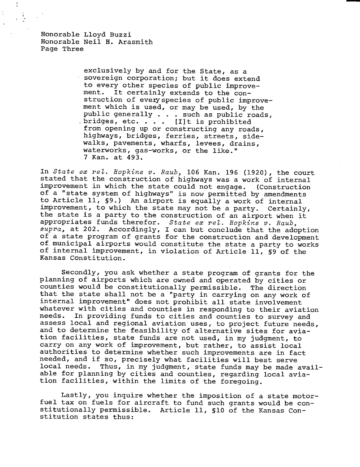Honorable Lloyd Buzzi Honorable Neil H. Arasmith Page Three

 $\ddot{\cdot}$ 

exclusively by and for the State, as a sovereign corporation; but it does extend to every other species of public improvement. It certainly extends to the construction of every species of public improvement which is used, or may be used, by the public generally . . . such as public roads, bridges, etc.  $\cdots$  [I]t is prohibited from opening up or constructing any roads, highways, bridges, ferries, streets, sidewalks, pavements, wharfs, levees, drains, waterworks, gas-works, or the like." 7 Kan. at 493.

In State ex rel. Hopkins v. Raub, 106 Kan. 196 (1920), the court stated that the construction of highways was a work of internal improvement in which the state could not engage. (Construction of a "state system of highways" is now permitted by amendments to Article 11, §9.) An airport is equally a work of internal improvement, to which the state may not be a party. Certainly, the state is a party to the construction of an airport when it appropriates funds therefor. State ex rel. Hopkins v. Raub, supra, at 202. Accordingly, I can but conclude that the adoption of a state program of grants for the construction and development of municipal airports would constitute the state a party to works of internal improvement, in violation of Article 11, §9 of the Kansas Constitution.

Secondly, you ask whether a state program of grants for the planning of airports which are owned and operated by cities or counties would be constitutionally permissible. The direction that the state shall not be a "party in carrying on any work of internal improvement" does not prohibit all state involvement whatever with cities and counties in responding to their aviation needs. In providing funds to cities and counties to survey and assess local and regional aviation uses, to project future needs, and to determine the feasibility of alternative sites for aviation facilities, state funds are not used, in my judgment, to carry on any work of improvement, but rather, to assist local authorities to determine whether such improvements are in fact needed, and if so, precisely what facilities will best serve local needs. Thus, in my judgment, state funds may be made available for planning by cities and counties, regarding local aviation facilities, within the limits of the foregoing.

Lastly, you inquire whether the imposition of a state motorfuel tax on fuels for aircraft to fund such grants would be constitutionally permissible. Article 11, §10 of the Kansas Constitution states thus: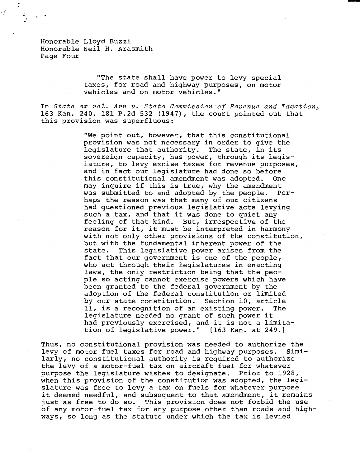Honorable Lloyd Buzzi Honorable Neil H. Arasmith Page Four

> "The state shall have power to levy special taxes, for road and highway purposes, on motor vehicles and on motor vehicles."

In State ex rel. Arn v. State Commission of Revenue and Taxation, 163 Kan. 240, 181 P.2d 532 (1947), the court pointed out that this provision was superfluous:

> "We point out, however, that this constitutional provision was not necessary in order to give the legislature that authority. The state, in its sovereign capacity, has power, through its legislature, to levy excise taxes for revenue purposes, and in fact our legislature had done so before this constitutional amendment was adopted. One may inquire if this is true, why the amendment was submitted to and adopted by the people. Perhaps the reason was that many of our citizens had questioned previous legislative acts levying such a tax, and that it was done to quiet any feeling of that kind. But, irrespective of the reason for it, it must be interpreted in harmony with not only other provisions of the constitution, but with the fundamental inherent power of the state. This legislative power arises from the fact that our government is one of the people, who act through their legislatures in enacting laws, the only restriction being that the people so acting cannot exercise powers which have been granted to the federal government by the adoption of the federal constitution or limited by our state constitution. Section 10, article 11, is a recognition of an existing power. The legislature needed no grant of such power it had previously exercised, and it is not a limitation of legislative power." [163 Kan. at 249.]

Thus, no constitutional provision was needed to authorize the levy of motor fuel taxes for road and highway purposes. Similarly, no constitutional authority is required to authorize the levy of a motor-fuel tax on aircraft fuel for whatever purpose the legislature wishes to designate. Prior to 1928, when this provision of the constitution was adopted, the legislature was free to levy a tax on fuels for whatever purpose it deemed needful, and subsequent to that amendment, it remains just as free to do so. This provision does not forbid the use of any motor-fuel tax for any purpose other than roads and highways, so long as the statute under which the tax is levied